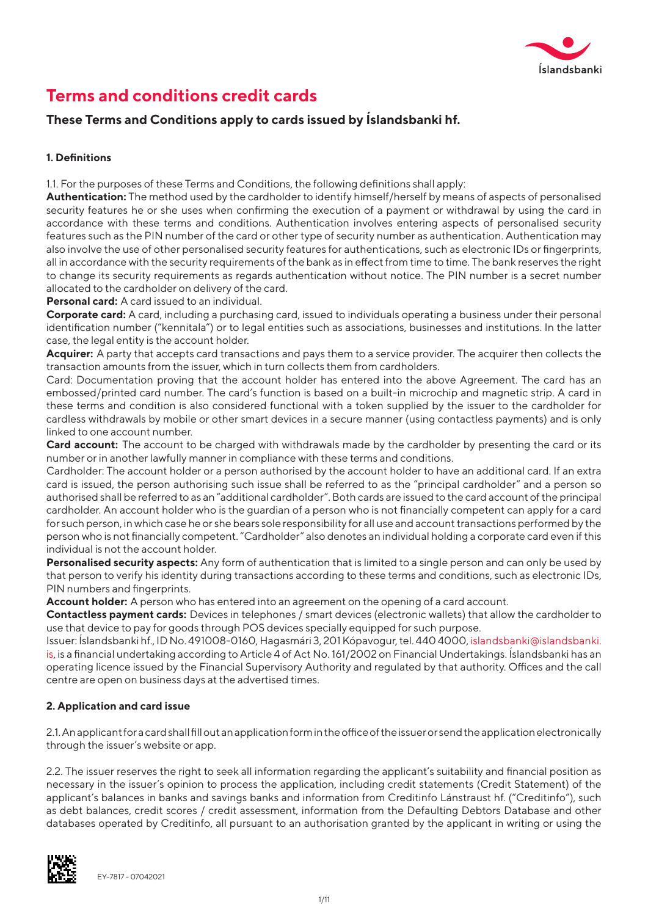

# **Terms and conditions credit cards**

# **These Terms and Conditions apply to cards issued by Íslandsbanki hf.**

# **1. Definitions**

1.1. For the purposes of these Terms and Conditions, the following definitions shall apply:

**Authentication:** The method used by the cardholder to identify himself/herself by means of aspects of personalised security features he or she uses when confirming the execution of a payment or withdrawal by using the card in accordance with these terms and conditions. Authentication involves entering aspects of personalised security features such as the PIN number of the card or other type of security number as authentication. Authentication may also involve the use of other personalised security features for authentications, such as electronic IDs or fingerprints, all in accordance with the security requirements of the bank as in effect from time to time. The bank reserves the right to change its security requirements as regards authentication without notice. The PIN number is a secret number allocated to the cardholder on delivery of the card.

**Personal card:** A card issued to an individual.

**Corporate card:** A card, including a purchasing card, issued to individuals operating a business under their personal identification number ("kennitala") or to legal entities such as associations, businesses and institutions. In the latter case, the legal entity is the account holder.

**Acquirer:** A party that accepts card transactions and pays them to a service provider. The acquirer then collects the transaction amounts from the issuer, which in turn collects them from cardholders.

Card: Documentation proving that the account holder has entered into the above Agreement. The card has an embossed/printed card number. The card's function is based on a built-in microchip and magnetic strip. A card in these terms and condition is also considered functional with a token supplied by the issuer to the cardholder for cardless withdrawals by mobile or other smart devices in a secure manner (using contactless payments) and is only linked to one account number.

**Card account:** The account to be charged with withdrawals made by the cardholder by presenting the card or its number or in another lawfully manner in compliance with these terms and conditions.

Cardholder: The account holder or a person authorised by the account holder to have an additional card. If an extra card is issued, the person authorising such issue shall be referred to as the "principal cardholder" and a person so authorised shall be referred to as an "additional cardholder". Both cards are issued to the card account of the principal cardholder. An account holder who is the guardian of a person who is not financially competent can apply for a card for such person, in which case he or she bears sole responsibility for all use and account transactions performed by the person who is not financially competent. "Cardholder" also denotes an individual holding a corporate card even if this individual is not the account holder.

**Personalised security aspects:** Any form of authentication that is limited to a single person and can only be used by that person to verify his identity during transactions according to these terms and conditions, such as electronic IDs, PIN numbers and fingerprints.

**Account holder:** A person who has entered into an agreement on the opening of a card account.

**Contactless payment cards:** Devices in telephones / smart devices (electronic wallets) that allow the cardholder to use that device to pay for goods through POS devices specially equipped for such purpose.

Issuer: Íslandsbanki hf., ID No. 491008-0160, Hagasmári 3, 201 Kópavogur, tel. 440 4000, islandsbanki@islandsbanki. is, is a financial undertaking according to Article 4 of Act No. 161/2002 on Financial Undertakings. Íslandsbanki has an operating licence issued by the Financial Supervisory Authority and regulated by that authority. Offices and the call centre are open on business days at the advertised times.

# **2. Application and card issue**

2.1. An applicant for a card shall fill out an application form in the office of the issuer or send the application electronically through the issuer's website or app.

2.2. The issuer reserves the right to seek all information regarding the applicant's suitability and financial position as necessary in the issuer's opinion to process the application, including credit statements (Credit Statement) of the applicant's balances in banks and savings banks and information from Creditinfo Lánstraust hf. ("Creditinfo"), such as debt balances, credit scores / credit assessment, information from the Defaulting Debtors Database and other databases operated by Creditinfo, all pursuant to an authorisation granted by the applicant in writing or using the

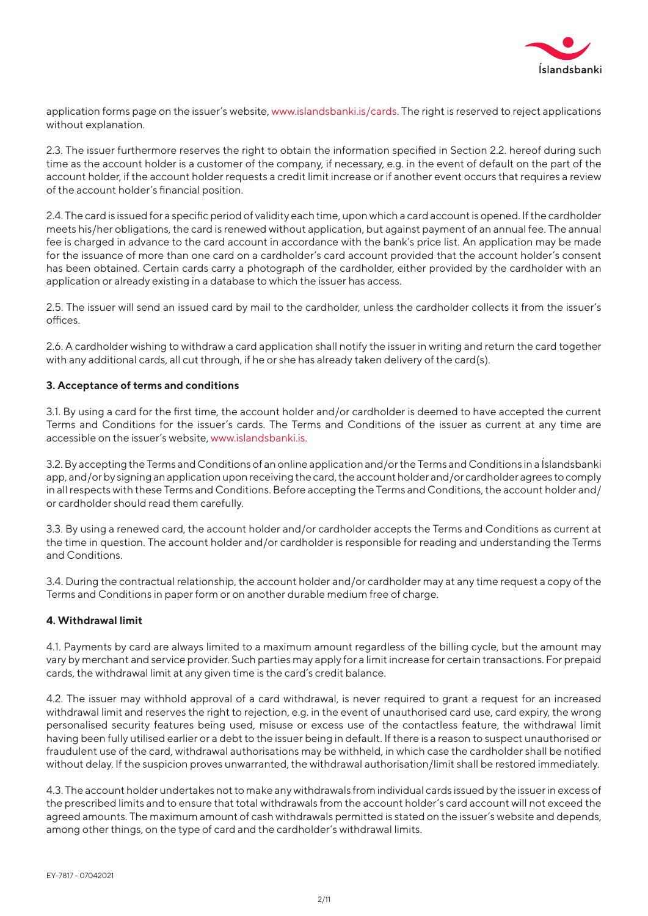

application forms page on the issuer's website, www.islandsbanki.is/cards. The right is reserved to reject applications without explanation.

2.3. The issuer furthermore reserves the right to obtain the information specified in Section 2.2. hereof during such time as the account holder is a customer of the company, if necessary, e.g. in the event of default on the part of the account holder, if the account holder requests a credit limit increase or if another event occurs that requires a review of the account holder's financial position.

2.4. The card is issued for a specific period of validity each time, upon which a card account is opened. If the cardholder meets his/her obligations, the card is renewed without application, but against payment of an annual fee. The annual fee is charged in advance to the card account in accordance with the bank's price list. An application may be made for the issuance of more than one card on a cardholder's card account provided that the account holder's consent has been obtained. Certain cards carry a photograph of the cardholder, either provided by the cardholder with an application or already existing in a database to which the issuer has access.

2.5. The issuer will send an issued card by mail to the cardholder, unless the cardholder collects it from the issuer's offices.

2.6. A cardholder wishing to withdraw a card application shall notify the issuer in writing and return the card together with any additional cards, all cut through, if he or she has already taken delivery of the card(s).

#### **3. Acceptance of terms and conditions**

3.1. By using a card for the first time, the account holder and/or cardholder is deemed to have accepted the current Terms and Conditions for the issuer's cards. The Terms and Conditions of the issuer as current at any time are accessible on the issuer's website, www.islandsbanki.is.

3.2. By accepting the Terms and Conditions of an online application and/or the Terms and Conditions in a Íslandsbanki app, and/or by signing an application upon receiving the card, the account holder and/or cardholder agrees to comply in all respects with these Terms and Conditions. Before accepting the Terms and Conditions, the account holder and/ or cardholder should read them carefully.

3.3. By using a renewed card, the account holder and/or cardholder accepts the Terms and Conditions as current at the time in question. The account holder and/or cardholder is responsible for reading and understanding the Terms and Conditions.

3.4. During the contractual relationship, the account holder and/or cardholder may at any time request a copy of the Terms and Conditions in paper form or on another durable medium free of charge.

#### **4. Withdrawal limit**

4.1. Payments by card are always limited to a maximum amount regardless of the billing cycle, but the amount may vary by merchant and service provider. Such parties may apply for a limit increase for certain transactions. For prepaid cards, the withdrawal limit at any given time is the card's credit balance.

4.2. The issuer may withhold approval of a card withdrawal, is never required to grant a request for an increased withdrawal limit and reserves the right to rejection, e.g. in the event of unauthorised card use, card expiry, the wrong personalised security features being used, misuse or excess use of the contactless feature, the withdrawal limit having been fully utilised earlier or a debt to the issuer being in default. If there is a reason to suspect unauthorised or fraudulent use of the card, withdrawal authorisations may be withheld, in which case the cardholder shall be notified without delay. If the suspicion proves unwarranted, the withdrawal authorisation/limit shall be restored immediately.

4.3. The account holder undertakes not to make any withdrawals from individual cards issued by the issuer in excess of the prescribed limits and to ensure that total withdrawals from the account holder's card account will not exceed the agreed amounts. The maximum amount of cash withdrawals permitted is stated on the issuer's website and depends, among other things, on the type of card and the cardholder's withdrawal limits.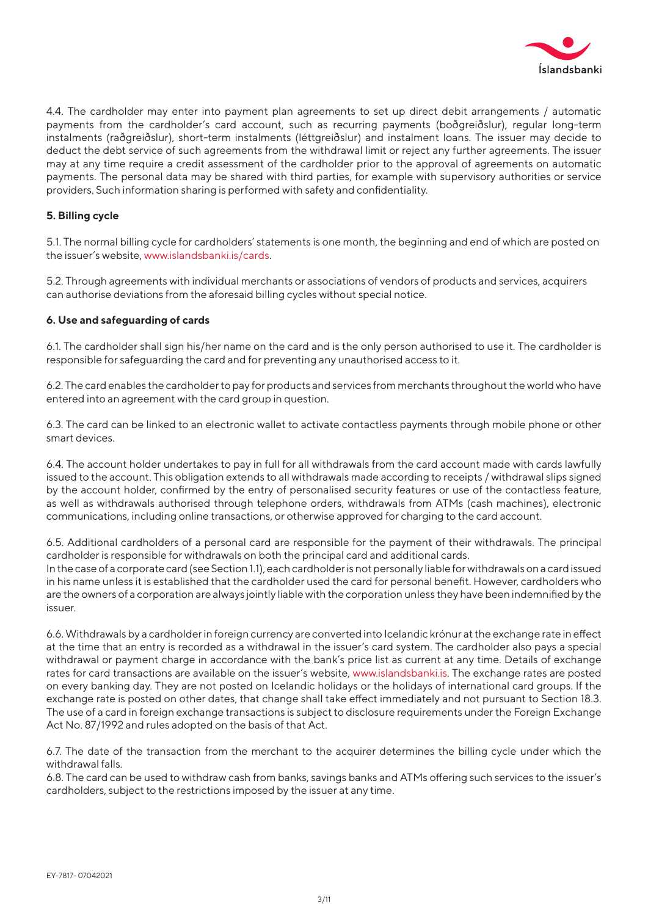

4.4. The cardholder may enter into payment plan agreements to set up direct debit arrangements / automatic payments from the cardholder's card account, such as recurring payments (boðgreiðslur), regular long-term instalments (raðgreiðslur), short-term instalments (léttgreiðslur) and instalment loans. The issuer may decide to deduct the debt service of such agreements from the withdrawal limit or reject any further agreements. The issuer may at any time require a credit assessment of the cardholder prior to the approval of agreements on automatic payments. The personal data may be shared with third parties, for example with supervisory authorities or service providers. Such information sharing is performed with safety and confidentiality.

#### **5. Billing cycle**

5.1. The normal billing cycle for cardholders' statements is one month, the beginning and end of which are posted on the issuer's website, www.islandsbanki.is/cards.

5.2. Through agreements with individual merchants or associations of vendors of products and services, acquirers can authorise deviations from the aforesaid billing cycles without special notice.

#### **6. Use and safeguarding of cards**

6.1. The cardholder shall sign his/her name on the card and is the only person authorised to use it. The cardholder is responsible for safeguarding the card and for preventing any unauthorised access to it.

6.2. The card enables the cardholder to pay for products and services from merchants throughout the world who have entered into an agreement with the card group in question.

6.3. The card can be linked to an electronic wallet to activate contactless payments through mobile phone or other smart devices.

6.4. The account holder undertakes to pay in full for all withdrawals from the card account made with cards lawfully issued to the account. This obligation extends to all withdrawals made according to receipts / withdrawal slips signed by the account holder, confirmed by the entry of personalised security features or use of the contactless feature, as well as withdrawals authorised through telephone orders, withdrawals from ATMs (cash machines), electronic communications, including online transactions, or otherwise approved for charging to the card account.

6.5. Additional cardholders of a personal card are responsible for the payment of their withdrawals. The principal cardholder is responsible for withdrawals on both the principal card and additional cards.

In the case of a corporate card (see Section 1.1), each cardholder is not personally liable for withdrawals on a card issued in his name unless it is established that the cardholder used the card for personal benefit. However, cardholders who are the owners of a corporation are always jointly liable with the corporation unless they have been indemnified by the issuer.

6.6. Withdrawals by a cardholder in foreign currency are converted into Icelandic krónur at the exchange rate in effect at the time that an entry is recorded as a withdrawal in the issuer's card system. The cardholder also pays a special withdrawal or payment charge in accordance with the bank's price list as current at any time. Details of exchange rates for card transactions are available on the issuer's website, www.islandsbanki.is. The exchange rates are posted on every banking day. They are not posted on Icelandic holidays or the holidays of international card groups. If the exchange rate is posted on other dates, that change shall take effect immediately and not pursuant to Section 18.3. The use of a card in foreign exchange transactions is subject to disclosure requirements under the Foreign Exchange Act No. 87/1992 and rules adopted on the basis of that Act.

6.7. The date of the transaction from the merchant to the acquirer determines the billing cycle under which the withdrawal falls.

6.8. The card can be used to withdraw cash from banks, savings banks and ATMs offering such services to the issuer's cardholders, subject to the restrictions imposed by the issuer at any time.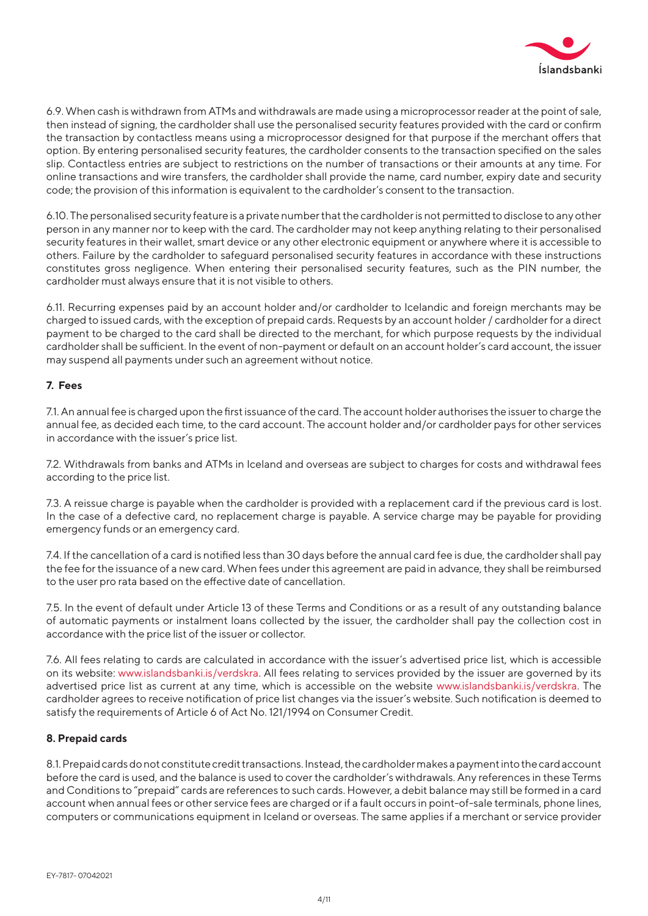

6.9. When cash is withdrawn from ATMs and withdrawals are made using a microprocessor reader at the point of sale, then instead of signing, the cardholder shall use the personalised security features provided with the card or confirm the transaction by contactless means using a microprocessor designed for that purpose if the merchant offers that option. By entering personalised security features, the cardholder consents to the transaction specified on the sales slip. Contactless entries are subject to restrictions on the number of transactions or their amounts at any time. For online transactions and wire transfers, the cardholder shall provide the name, card number, expiry date and security code; the provision of this information is equivalent to the cardholder's consent to the transaction.

6.10. The personalised security feature is a private number that the cardholder is not permitted to disclose to any other person in any manner nor to keep with the card. The cardholder may not keep anything relating to their personalised security features in their wallet, smart device or any other electronic equipment or anywhere where it is accessible to others. Failure by the cardholder to safeguard personalised security features in accordance with these instructions constitutes gross negligence. When entering their personalised security features, such as the PIN number, the cardholder must always ensure that it is not visible to others.

6.11. Recurring expenses paid by an account holder and/or cardholder to Icelandic and foreign merchants may be charged to issued cards, with the exception of prepaid cards. Requests by an account holder / cardholder for a direct payment to be charged to the card shall be directed to the merchant, for which purpose requests by the individual cardholder shall be sufficient. In the event of non-payment or default on an account holder's card account, the issuer may suspend all payments under such an agreement without notice.

#### **7. Fees**

7.1. An annual fee is charged upon the first issuance of the card. The account holder authorises the issuer to charge the annual fee, as decided each time, to the card account. The account holder and/or cardholder pays for other services in accordance with the issuer's price list.

7.2. Withdrawals from banks and ATMs in Iceland and overseas are subject to charges for costs and withdrawal fees according to the price list.

7.3. A reissue charge is payable when the cardholder is provided with a replacement card if the previous card is lost. In the case of a defective card, no replacement charge is payable. A service charge may be payable for providing emergency funds or an emergency card.

7.4. If the cancellation of a card is notified less than 30 days before the annual card fee is due, the cardholder shall pay the fee for the issuance of a new card. When fees under this agreement are paid in advance, they shall be reimbursed to the user pro rata based on the effective date of cancellation.

7.5. In the event of default under Article 13 of these Terms and Conditions or as a result of any outstanding balance of automatic payments or instalment loans collected by the issuer, the cardholder shall pay the collection cost in accordance with the price list of the issuer or collector.

7.6. All fees relating to cards are calculated in accordance with the issuer's advertised price list, which is accessible on its website: www.islandsbanki.is/verdskra. All fees relating to services provided by the issuer are governed by its advertised price list as current at any time, which is accessible on the website www.islandsbanki.is/verdskra. The cardholder agrees to receive notification of price list changes via the issuer's website. Such notification is deemed to satisfy the requirements of Article 6 of Act No. 121/1994 on Consumer Credit.

# **8. Prepaid cards**

8.1. Prepaid cards do not constitute credit transactions. Instead, the cardholder makes a payment into the card account before the card is used, and the balance is used to cover the cardholder's withdrawals. Any references in these Terms and Conditions to "prepaid" cards are references to such cards. However, a debit balance may still be formed in a card account when annual fees or other service fees are charged or if a fault occurs in point-of-sale terminals, phone lines, computers or communications equipment in Iceland or overseas. The same applies if a merchant or service provider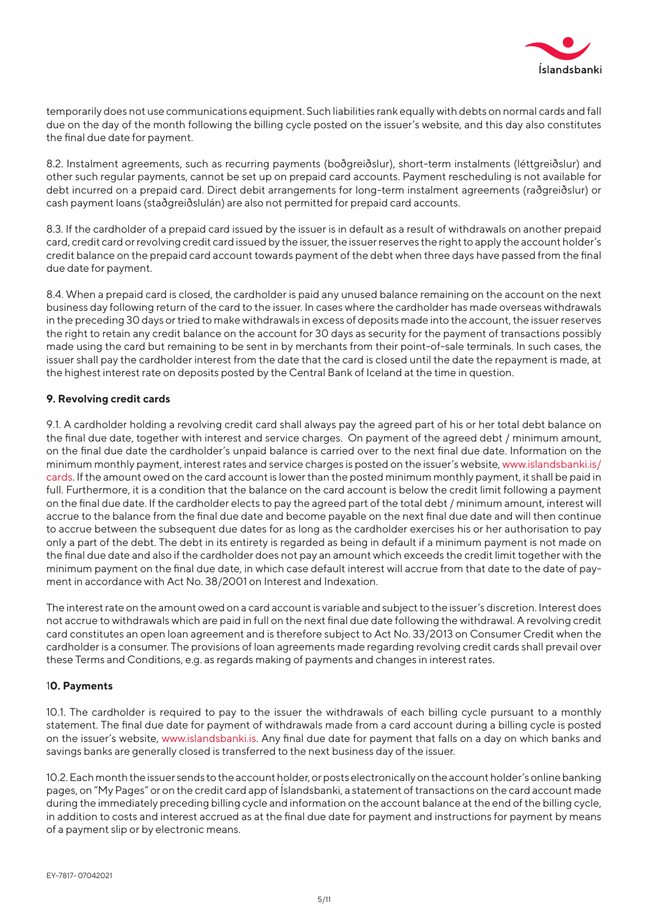

temporarily does not use communications equipment. Such liabilities rank equally with debts on normal cards and fall due on the day of the month following the billing cycle posted on the issuer's website, and this day also constitutes the final due date for payment.

8.2. Instalment agreements, such as recurring payments (boðgreiðslur), short-term instalments (léttgreiðslur) and other such regular payments, cannot be set up on prepaid card accounts. Payment rescheduling is not available for debt incurred on a prepaid card. Direct debit arrangements for long-term instalment agreements (raðgreiðslur) or cash payment loans (staðgreiðslulán) are also not permitted for prepaid card accounts.

8.3. If the cardholder of a prepaid card issued by the issuer is in default as a result of withdrawals on another prepaid card, credit card or revolving credit card issued by the issuer, the issuer reserves the right to apply the account holder's credit balance on the prepaid card account towards payment of the debt when three days have passed from the final due date for payment.

8.4. When a prepaid card is closed, the cardholder is paid any unused balance remaining on the account on the next business day following return of the card to the issuer. In cases where the cardholder has made overseas withdrawals in the preceding 30 days or tried to make withdrawals in excess of deposits made into the account, the issuer reserves the right to retain any credit balance on the account for 30 days as security for the payment of transactions possibly made using the card but remaining to be sent in by merchants from their point-of-sale terminals. In such cases, the issuer shall pay the cardholder interest from the date that the card is closed until the date the repayment is made, at the highest interest rate on deposits posted by the Central Bank of Iceland at the time in question.

# **9. Revolving credit cards**

9.1. A cardholder holding a revolving credit card shall always pay the agreed part of his or her total debt balance on the final due date, together with interest and service charges. On payment of the agreed debt / minimum amount, on the final due date the cardholder's unpaid balance is carried over to the next final due date. Information on the minimum monthly payment, interest rates and service charges is posted on the issuer's website, www.islandsbanki.is/ cards. If the amount owed on the card account is lower than the posted minimum monthly payment, it shall be paid in full. Furthermore, it is a condition that the balance on the card account is below the credit limit following a payment on the final due date. If the cardholder elects to pay the agreed part of the total debt / minimum amount, interest will accrue to the balance from the final due date and become payable on the next final due date and will then continue to accrue between the subsequent due dates for as long as the cardholder exercises his or her authorisation to pay only a part of the debt. The debt in its entirety is regarded as being in default if a minimum payment is not made on the final due date and also if the cardholder does not pay an amount which exceeds the credit limit together with the minimum payment on the final due date, in which case default interest will accrue from that date to the date of payment in accordance with Act No. 38/2001 on Interest and Indexation.

The interest rate on the amount owed on a card account is variable and subject to the issuer's discretion. Interest does not accrue to withdrawals which are paid in full on the next final due date following the withdrawal. A revolving credit card constitutes an open loan agreement and is therefore subject to Act No. 33/2013 on Consumer Credit when the cardholder is a consumer. The provisions of loan agreements made regarding revolving credit cards shall prevail over these Terms and Conditions, e.g. as regards making of payments and changes in interest rates.

# 1**0. Payments**

10.1. The cardholder is required to pay to the issuer the withdrawals of each billing cycle pursuant to a monthly statement. The final due date for payment of withdrawals made from a card account during a billing cycle is posted on the issuer's website, www.islandsbanki.is. Any final due date for payment that falls on a day on which banks and savings banks are generally closed is transferred to the next business day of the issuer.

10.2. Each month the issuer sends to the account holder, or posts electronically on the account holder's online banking pages, on "My Pages" or on the credit card app of Íslandsbanki, a statement of transactions on the card account made during the immediately preceding billing cycle and information on the account balance at the end of the billing cycle, in addition to costs and interest accrued as at the final due date for payment and instructions for payment by means of a payment slip or by electronic means.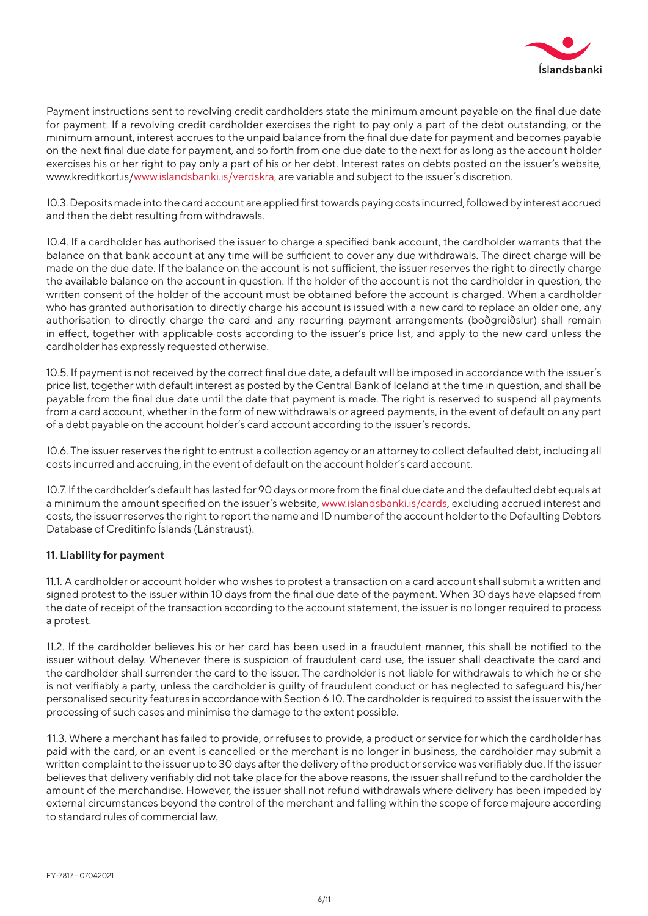

Payment instructions sent to revolving credit cardholders state the minimum amount payable on the final due date for payment. If a revolving credit cardholder exercises the right to pay only a part of the debt outstanding, or the minimum amount, interest accrues to the unpaid balance from the final due date for payment and becomes payable on the next final due date for payment, and so forth from one due date to the next for as long as the account holder exercises his or her right to pay only a part of his or her debt. Interest rates on debts posted on the issuer's website, www.kreditkort.is/www.islandsbanki.is/verdskra, are variable and subject to the issuer's discretion.

10.3. Deposits made into the card account are applied first towards paying costs incurred, followed by interest accrued and then the debt resulting from withdrawals.

10.4. If a cardholder has authorised the issuer to charge a specified bank account, the cardholder warrants that the balance on that bank account at any time will be sufficient to cover any due withdrawals. The direct charge will be made on the due date. If the balance on the account is not sufficient, the issuer reserves the right to directly charge the available balance on the account in question. If the holder of the account is not the cardholder in question, the written consent of the holder of the account must be obtained before the account is charged. When a cardholder who has granted authorisation to directly charge his account is issued with a new card to replace an older one, any authorisation to directly charge the card and any recurring payment arrangements (boðgreiðslur) shall remain in effect, together with applicable costs according to the issuer's price list, and apply to the new card unless the cardholder has expressly requested otherwise.

10.5. If payment is not received by the correct final due date, a default will be imposed in accordance with the issuer's price list, together with default interest as posted by the Central Bank of Iceland at the time in question, and shall be payable from the final due date until the date that payment is made. The right is reserved to suspend all payments from a card account, whether in the form of new withdrawals or agreed payments, in the event of default on any part of a debt payable on the account holder's card account according to the issuer's records.

10.6. The issuer reserves the right to entrust a collection agency or an attorney to collect defaulted debt, including all costs incurred and accruing, in the event of default on the account holder's card account.

10.7. If the cardholder's default has lasted for 90 days or more from the final due date and the defaulted debt equals at a minimum the amount specified on the issuer's website, www.islandsbanki.is/cards, excluding accrued interest and costs, the issuer reserves the right to report the name and ID number of the account holder to the Defaulting Debtors Database of Creditinfo Íslands (Lánstraust).

# **11. Liability for payment**

11.1. A cardholder or account holder who wishes to protest a transaction on a card account shall submit a written and signed protest to the issuer within 10 days from the final due date of the payment. When 30 days have elapsed from the date of receipt of the transaction according to the account statement, the issuer is no longer required to process a protest.

11.2. If the cardholder believes his or her card has been used in a fraudulent manner, this shall be notified to the issuer without delay. Whenever there is suspicion of fraudulent card use, the issuer shall deactivate the card and the cardholder shall surrender the card to the issuer. The cardholder is not liable for withdrawals to which he or she is not verifiably a party, unless the cardholder is guilty of fraudulent conduct or has neglected to safeguard his/her personalised security features in accordance with Section 6.10. The cardholder is required to assist the issuer with the processing of such cases and minimise the damage to the extent possible.

11.3. Where a merchant has failed to provide, or refuses to provide, a product or service for which the cardholder has paid with the card, or an event is cancelled or the merchant is no longer in business, the cardholder may submit a written complaint to the issuer up to 30 days after the delivery of the product or service was verifiably due. If the issuer believes that delivery verifiably did not take place for the above reasons, the issuer shall refund to the cardholder the amount of the merchandise. However, the issuer shall not refund withdrawals where delivery has been impeded by external circumstances beyond the control of the merchant and falling within the scope of force majeure according to standard rules of commercial law.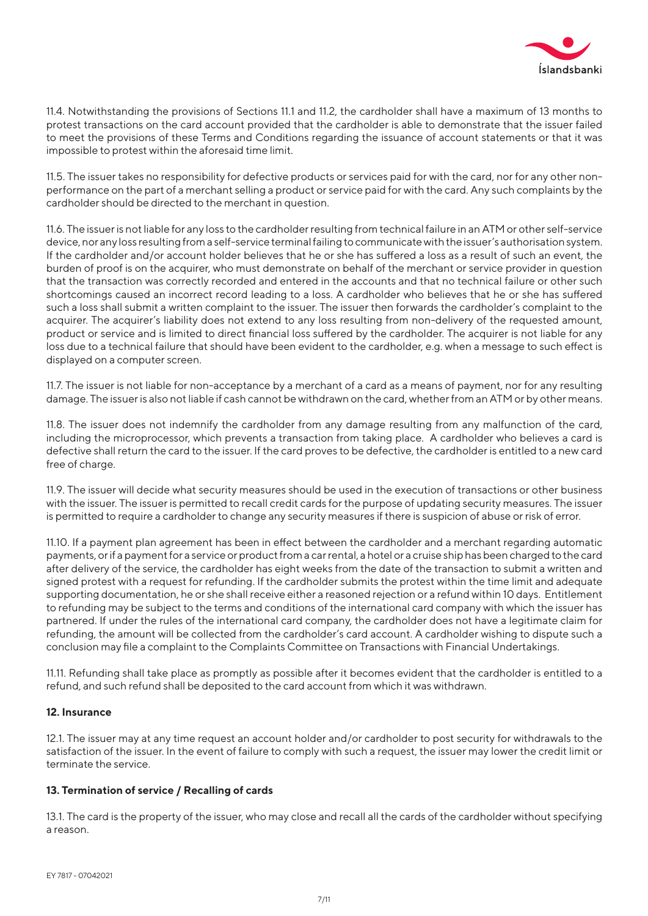

11.4. Notwithstanding the provisions of Sections 11.1 and 11.2, the cardholder shall have a maximum of 13 months to protest transactions on the card account provided that the cardholder is able to demonstrate that the issuer failed to meet the provisions of these Terms and Conditions regarding the issuance of account statements or that it was impossible to protest within the aforesaid time limit.

11.5. The issuer takes no responsibility for defective products or services paid for with the card, nor for any other nonperformance on the part of a merchant selling a product or service paid for with the card. Any such complaints by the cardholder should be directed to the merchant in question.

11.6. The issuer is not liable for any loss to the cardholder resulting from technical failure in an ATM or other self-service device, nor any loss resulting from a self-service terminal failing to communicate with the issuer's authorisation system. If the cardholder and/or account holder believes that he or she has suffered a loss as a result of such an event, the burden of proof is on the acquirer, who must demonstrate on behalf of the merchant or service provider in question that the transaction was correctly recorded and entered in the accounts and that no technical failure or other such shortcomings caused an incorrect record leading to a loss. A cardholder who believes that he or she has suffered such a loss shall submit a written complaint to the issuer. The issuer then forwards the cardholder's complaint to the acquirer. The acquirer's liability does not extend to any loss resulting from non-delivery of the requested amount, product or service and is limited to direct financial loss suffered by the cardholder. The acquirer is not liable for any loss due to a technical failure that should have been evident to the cardholder, e.g. when a message to such effect is displayed on a computer screen.

11.7. The issuer is not liable for non-acceptance by a merchant of a card as a means of payment, nor for any resulting damage. The issuer is also not liable if cash cannot be withdrawn on the card, whether from an ATM or by other means.

11.8. The issuer does not indemnify the cardholder from any damage resulting from any malfunction of the card, including the microprocessor, which prevents a transaction from taking place. A cardholder who believes a card is defective shall return the card to the issuer. If the card proves to be defective, the cardholder is entitled to a new card free of charge.

11.9. The issuer will decide what security measures should be used in the execution of transactions or other business with the issuer. The issuer is permitted to recall credit cards for the purpose of updating security measures. The issuer is permitted to require a cardholder to change any security measures if there is suspicion of abuse or risk of error.

11.10. If a payment plan agreement has been in effect between the cardholder and a merchant regarding automatic payments, or if a payment for a service or product from a car rental, a hotel or a cruise ship has been charged to the card after delivery of the service, the cardholder has eight weeks from the date of the transaction to submit a written and signed protest with a request for refunding. If the cardholder submits the protest within the time limit and adequate supporting documentation, he or she shall receive either a reasoned rejection or a refund within 10 days. Entitlement to refunding may be subject to the terms and conditions of the international card company with which the issuer has partnered. If under the rules of the international card company, the cardholder does not have a legitimate claim for refunding, the amount will be collected from the cardholder's card account. A cardholder wishing to dispute such a conclusion may file a complaint to the Complaints Committee on Transactions with Financial Undertakings.

11.11. Refunding shall take place as promptly as possible after it becomes evident that the cardholder is entitled to a refund, and such refund shall be deposited to the card account from which it was withdrawn.

# **12. Insurance**

12.1. The issuer may at any time request an account holder and/or cardholder to post security for withdrawals to the satisfaction of the issuer. In the event of failure to comply with such a request, the issuer may lower the credit limit or terminate the service.

# **13. Termination of service / Recalling of cards**

13.1. The card is the property of the issuer, who may close and recall all the cards of the cardholder without specifying a reason.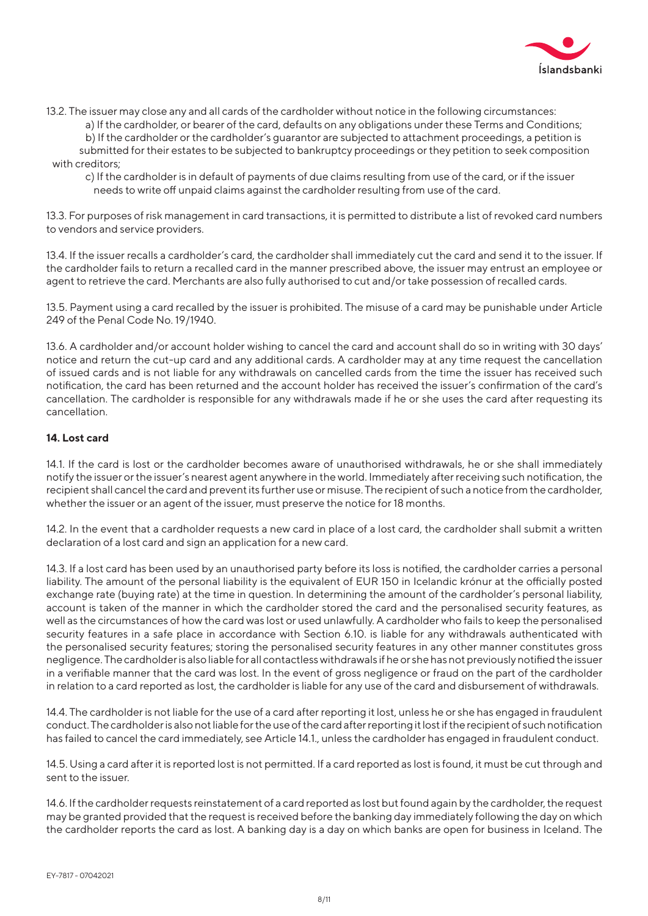

13.2. The issuer may close any and all cards of the cardholder without notice in the following circumstances:

a) If the cardholder, or bearer of the card, defaults on any obligations under these Terms and Conditions;

b) If the cardholder or the cardholder's guarantor are subjected to attachment proceedings, a petition is submitted for their estates to be subjected to bankruptcy proceedings or they petition to seek composition

with creditors:

c) If the cardholder is in default of payments of due claims resulting from use of the card, or if the issuer needs to write off unpaid claims against the cardholder resulting from use of the card.

13.3. For purposes of risk management in card transactions, it is permitted to distribute a list of revoked card numbers to vendors and service providers.

13.4. If the issuer recalls a cardholder's card, the cardholder shall immediately cut the card and send it to the issuer. If the cardholder fails to return a recalled card in the manner prescribed above, the issuer may entrust an employee or agent to retrieve the card. Merchants are also fully authorised to cut and/or take possession of recalled cards.

13.5. Payment using a card recalled by the issuer is prohibited. The misuse of a card may be punishable under Article 249 of the Penal Code No. 19/1940.

13.6. A cardholder and/or account holder wishing to cancel the card and account shall do so in writing with 30 days' notice and return the cut-up card and any additional cards. A cardholder may at any time request the cancellation of issued cards and is not liable for any withdrawals on cancelled cards from the time the issuer has received such notification, the card has been returned and the account holder has received the issuer's confirmation of the card's cancellation. The cardholder is responsible for any withdrawals made if he or she uses the card after requesting its cancellation.

# **14. Lost card**

14.1. If the card is lost or the cardholder becomes aware of unauthorised withdrawals, he or she shall immediately notify the issuer or the issuer's nearest agent anywhere in the world. Immediately after receiving such notification, the recipient shall cancel the card and prevent its further use or misuse. The recipient of such a notice from the cardholder, whether the issuer or an agent of the issuer, must preserve the notice for 18 months.

14.2. In the event that a cardholder requests a new card in place of a lost card, the cardholder shall submit a written declaration of a lost card and sign an application for a new card.

14.3. If a lost card has been used by an unauthorised party before its loss is notified, the cardholder carries a personal liability. The amount of the personal liability is the equivalent of EUR 150 in Icelandic krónur at the officially posted exchange rate (buying rate) at the time in question. In determining the amount of the cardholder's personal liability, account is taken of the manner in which the cardholder stored the card and the personalised security features, as well as the circumstances of how the card was lost or used unlawfully. A cardholder who fails to keep the personalised security features in a safe place in accordance with Section 6.10. is liable for any withdrawals authenticated with the personalised security features; storing the personalised security features in any other manner constitutes gross negligence. The cardholder is also liable for all contactless withdrawals if he or she has not previously notified the issuer in a verifiable manner that the card was lost. In the event of gross negligence or fraud on the part of the cardholder in relation to a card reported as lost, the cardholder is liable for any use of the card and disbursement of withdrawals.

14.4. The cardholder is not liable for the use of a card after reporting it lost, unless he or she has engaged in fraudulent conduct. The cardholder is also not liable for the use of the card after reporting it lost if the recipient of such notification has failed to cancel the card immediately, see Article 14.1., unless the cardholder has engaged in fraudulent conduct.

14.5. Using a card after it is reported lost is not permitted. If a card reported as lost is found, it must be cut through and sent to the issuer.

14.6. If the cardholder requests reinstatement of a card reported as lost but found again by the cardholder, the request may be granted provided that the request is received before the banking day immediately following the day on which the cardholder reports the card as lost. A banking day is a day on which banks are open for business in Iceland. The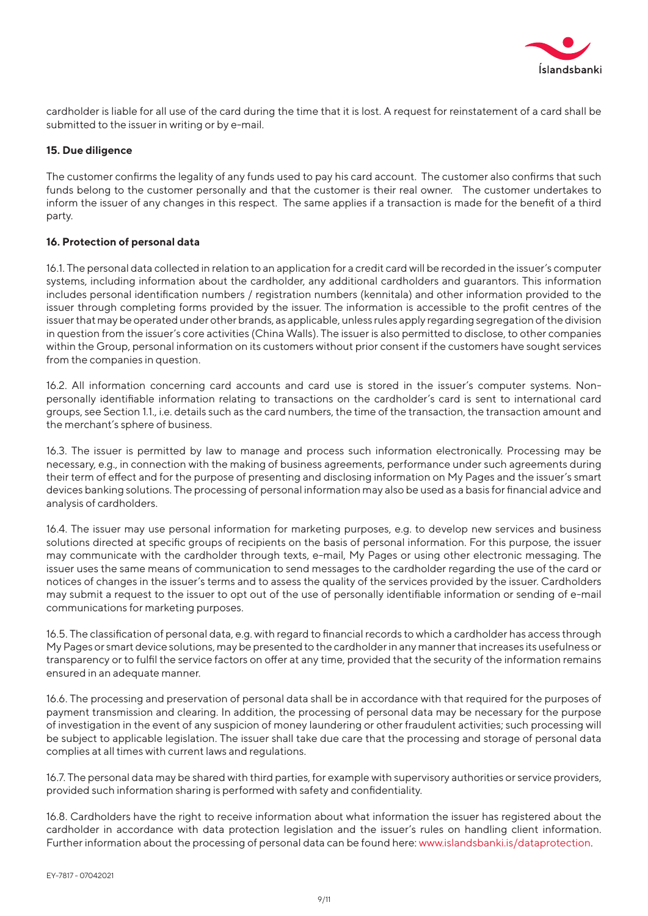

cardholder is liable for all use of the card during the time that it is lost. A request for reinstatement of a card shall be submitted to the issuer in writing or by e-mail.

#### **15. Due diligence**

The customer confirms the legality of any funds used to pay his card account. The customer also confirms that such funds belong to the customer personally and that the customer is their real owner. The customer undertakes to inform the issuer of any changes in this respect. The same applies if a transaction is made for the benefit of a third party.

#### **16. Protection of personal data**

16.1. The personal data collected in relation to an application for a credit card will be recorded in the issuer's computer systems, including information about the cardholder, any additional cardholders and guarantors. This information includes personal identification numbers / registration numbers (kennitala) and other information provided to the issuer through completing forms provided by the issuer. The information is accessible to the profit centres of the issuer that may be operated under other brands, as applicable, unless rules apply regarding segregation of the division in question from the issuer's core activities (China Walls). The issuer is also permitted to disclose, to other companies within the Group, personal information on its customers without prior consent if the customers have sought services from the companies in question.

16.2. All information concerning card accounts and card use is stored in the issuer's computer systems. Nonpersonally identifiable information relating to transactions on the cardholder's card is sent to international card groups, see Section 1.1., i.e. details such as the card numbers, the time of the transaction, the transaction amount and the merchant's sphere of business.

16.3. The issuer is permitted by law to manage and process such information electronically. Processing may be necessary, e.g., in connection with the making of business agreements, performance under such agreements during their term of effect and for the purpose of presenting and disclosing information on My Pages and the issuer's smart devices banking solutions. The processing of personal information may also be used as a basis for financial advice and analysis of cardholders.

16.4. The issuer may use personal information for marketing purposes, e.g. to develop new services and business solutions directed at specific groups of recipients on the basis of personal information. For this purpose, the issuer may communicate with the cardholder through texts, e-mail, My Pages or using other electronic messaging. The issuer uses the same means of communication to send messages to the cardholder regarding the use of the card or notices of changes in the issuer's terms and to assess the quality of the services provided by the issuer. Cardholders may submit a request to the issuer to opt out of the use of personally identifiable information or sending of e-mail communications for marketing purposes.

16.5. The classification of personal data, e.g. with regard to financial records to which a cardholder has access through My Pages or smart device solutions, may be presented to the cardholder in any manner that increases its usefulness or transparency or to fulfil the service factors on offer at any time, provided that the security of the information remains ensured in an adequate manner.

16.6. The processing and preservation of personal data shall be in accordance with that required for the purposes of payment transmission and clearing. In addition, the processing of personal data may be necessary for the purpose of investigation in the event of any suspicion of money laundering or other fraudulent activities; such processing will be subject to applicable legislation. The issuer shall take due care that the processing and storage of personal data complies at all times with current laws and regulations.

16.7. The personal data may be shared with third parties, for example with supervisory authorities or service providers, provided such information sharing is performed with safety and confidentiality.

16.8. Cardholders have the right to receive information about what information the issuer has registered about the cardholder in accordance with data protection legislation and the issuer's rules on handling client information. Further information about the processing of personal data can be found here: www.islandsbanki.is/dataprotection.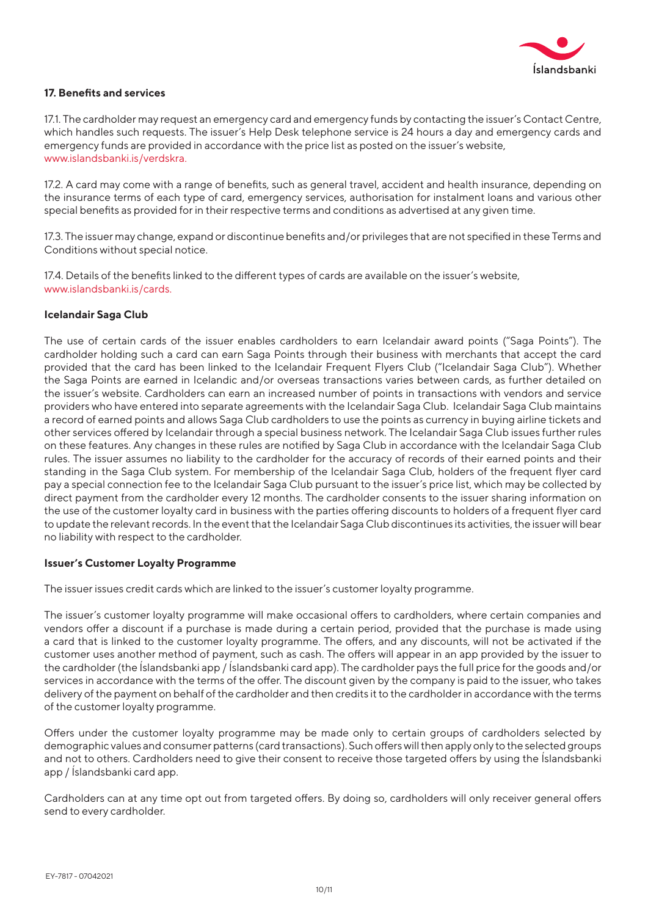

#### **17. Benefits and services**

17.1. The cardholder may request an emergency card and emergency funds by contacting the issuer's Contact Centre, which handles such requests. The issuer's Help Desk telephone service is 24 hours a day and emergency cards and emergency funds are provided in accordance with the price list as posted on the issuer's website, www.islandsbanki.is/verdskra.

17.2. A card may come with a range of benefits, such as general travel, accident and health insurance, depending on the insurance terms of each type of card, emergency services, authorisation for instalment loans and various other special benefits as provided for in their respective terms and conditions as advertised at any given time.

17.3. The issuer may change, expand or discontinue benefits and/or privileges that are not specified in these Terms and Conditions without special notice.

17.4. Details of the benefits linked to the different types of cards are available on the issuer's website, www.islandsbanki.is/cards.

#### **Icelandair Saga Club**

The use of certain cards of the issuer enables cardholders to earn Icelandair award points ("Saga Points"). The cardholder holding such a card can earn Saga Points through their business with merchants that accept the card provided that the card has been linked to the Icelandair Frequent Flyers Club ("Icelandair Saga Club"). Whether the Saga Points are earned in Icelandic and/or overseas transactions varies between cards, as further detailed on the issuer's website. Cardholders can earn an increased number of points in transactions with vendors and service providers who have entered into separate agreements with the Icelandair Saga Club. Icelandair Saga Club maintains a record of earned points and allows Saga Club cardholders to use the points as currency in buying airline tickets and other services offered by Icelandair through a special business network. The Icelandair Saga Club issues further rules on these features. Any changes in these rules are notified by Saga Club in accordance with the Icelandair Saga Club rules. The issuer assumes no liability to the cardholder for the accuracy of records of their earned points and their standing in the Saga Club system. For membership of the Icelandair Saga Club, holders of the frequent flyer card pay a special connection fee to the Icelandair Saga Club pursuant to the issuer's price list, which may be collected by direct payment from the cardholder every 12 months. The cardholder consents to the issuer sharing information on the use of the customer loyalty card in business with the parties offering discounts to holders of a frequent flyer card to update the relevant records. In the event that the Icelandair Saga Club discontinues its activities, the issuer will bear no liability with respect to the cardholder.

#### **Issuer's Customer Loyalty Programme**

The issuer issues credit cards which are linked to the issuer's customer loyalty programme.

The issuer's customer loyalty programme will make occasional offers to cardholders, where certain companies and vendors offer a discount if a purchase is made during a certain period, provided that the purchase is made using a card that is linked to the customer loyalty programme. The offers, and any discounts, will not be activated if the customer uses another method of payment, such as cash. The offers will appear in an app provided by the issuer to the cardholder (the Íslandsbanki app / Íslandsbanki card app). The cardholder pays the full price for the goods and/or services in accordance with the terms of the offer. The discount given by the company is paid to the issuer, who takes delivery of the payment on behalf of the cardholder and then credits it to the cardholder in accordance with the terms of the customer loyalty programme.

Offers under the customer loyalty programme may be made only to certain groups of cardholders selected by demographic values and consumer patterns (card transactions). Such offers will then apply only to the selected groups and not to others. Cardholders need to give their consent to receive those targeted offers by using the Íslandsbanki app / Íslandsbanki card app.

Cardholders can at any time opt out from targeted offers. By doing so, cardholders will only receiver general offers send to every cardholder.